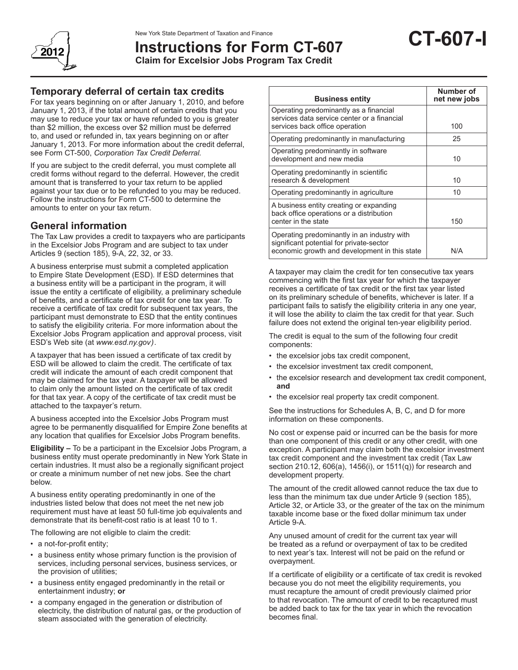

# **Instructions for Form CT-607**

**Claim for Excelsior Jobs Program Tax Credit**

## **Temporary deferral of certain tax credits**

For tax years beginning on or after January 1, 2010, and before January 1, 2013, if the total amount of certain credits that you may use to reduce your tax or have refunded to you is greater than \$2 million, the excess over \$2 million must be deferred to, and used or refunded in, tax years beginning on or after January 1, 2013. For more information about the credit deferral, see Form CT-500, *Corporation Tax Credit Deferral.*

If you are subject to the credit deferral, you must complete all credit forms without regard to the deferral. However, the credit amount that is transferred to your tax return to be applied against your tax due or to be refunded to you may be reduced. Follow the instructions for Form CT-500 to determine the amounts to enter on your tax return.

## **General information**

The Tax Law provides a credit to taxpayers who are participants in the Excelsior Jobs Program and are subject to tax under Articles 9 (section 185), 9-A, 22, 32, or 33.

A business enterprise must submit a completed application to Empire State Development (ESD). If ESD determines that a business entity will be a participant in the program, it will issue the entity a certificate of eligibility, a preliminary schedule of benefits, and a certificate of tax credit for one tax year*.* To receive a certificate of tax credit for subsequent tax years, the participant must demonstrate to ESD that the entity continues to satisfy the eligibility criteria. For more information about the Excelsior Jobs Program application and approval process, visit ESD's Web site (at *www.esd.ny.gov)*.

A taxpayer that has been issued a certificate of tax credit by ESD will be allowed to claim the credit. The certificate of tax credit will indicate the amount of each credit component that may be claimed for the tax year. A taxpayer will be allowed to claim only the amount listed on the certificate of tax credit for that tax year. A copy of the certificate of tax credit must be attached to the taxpayer's return.

A business accepted into the Excelsior Jobs Program must agree to be permanently disqualified for Empire Zone benefits at any location that qualifies for Excelsior Jobs Program benefits.

**Eligibility –** To be a participant in the Excelsior Jobs Program, a business entity must operate predominantly in New York State in certain industries. It must also be a regionally significant project or create a minimum number of net new jobs. See the chart below.

A business entity operating predominantly in one of the industries listed below that does not meet the net new job requirement must have at least 50 full-time job equivalents and demonstrate that its benefit-cost ratio is at least 10 to 1.

The following are not eligible to claim the credit:

- a not-for-profit entity;
- a business entity whose primary function is the provision of services, including personal services, business services, or the provision of utilities;
- a business entity engaged predominantly in the retail or entertainment industry; **or**
- a company engaged in the generation or distribution of electricity, the distribution of natural gas, or the production of steam associated with the generation of electricity.

| <b>Business entity</b>                                                                                                                   | Number of<br>net new jobs |
|------------------------------------------------------------------------------------------------------------------------------------------|---------------------------|
| Operating predominantly as a financial<br>services data service center or a financial<br>services back office operation                  | 100                       |
|                                                                                                                                          |                           |
| Operating predominantly in manufacturing                                                                                                 | 25                        |
| Operating predominantly in software<br>development and new media                                                                         | 10                        |
| Operating predominantly in scientific<br>research & development                                                                          | 10                        |
| Operating predominantly in agriculture                                                                                                   | 10                        |
| A business entity creating or expanding<br>back office operations or a distribution<br>center in the state                               | 150                       |
| Operating predominantly in an industry with<br>significant potential for private-sector<br>economic growth and development in this state | N/A                       |

A taxpayer may claim the credit for ten consecutive tax years commencing with the first tax year for which the taxpayer receives a certificate of tax credit or the first tax year listed on its preliminary schedule of benefits, whichever is later. If a participant fails to satisfy the eligibility criteria in any one year, it will lose the ability to claim the tax credit for that year. Such failure does not extend the original ten-year eligibility period.

The credit is equal to the sum of the following four credit components:

- the excelsior jobs tax credit component,
- the excelsior investment tax credit component,
- the excelsior research and development tax credit component, **and**
- the excelsior real property tax credit component.

See the instructions for Schedules A, B, C, and D for more information on these components.

No cost or expense paid or incurred can be the basis for more than one component of this credit or any other credit, with one exception. A participant may claim both the excelsior investment tax credit component and the investment tax credit (Tax Law section 210.12, 606(a), 1456(i), or 1511(q)) for research and development property.

The amount of the credit allowed cannot reduce the tax due to less than the minimum tax due under Article 9 (section 185), Article 32, or Article 33, or the greater of the tax on the minimum taxable income base or the fixed dollar minimum tax under Article 9-A.

Any unused amount of credit for the current tax year will be treated as a refund or overpayment of tax to be credited to next year's tax. Interest will not be paid on the refund or overpayment.

If a certificate of eligibility or a certificate of tax credit is revoked because you do not meet the eligibility requirements, you must recapture the amount of credit previously claimed prior to that revocation. The amount of credit to be recaptured must be added back to tax for the tax year in which the revocation becomes final.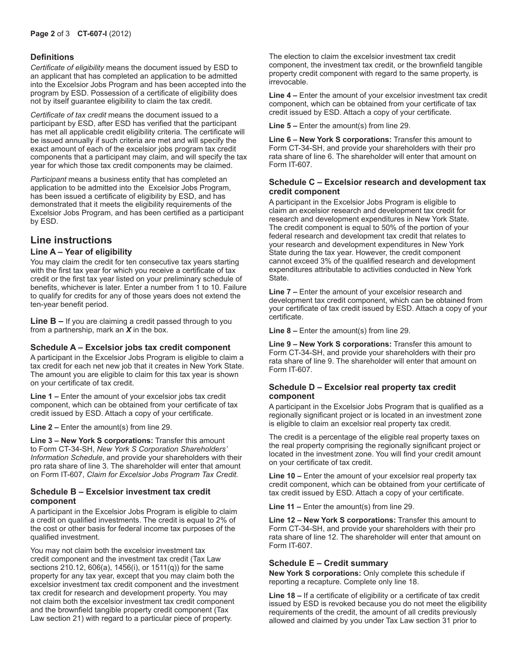#### **Definitions**

*Certificate of eligibility* means the document issued by ESD to an applicant that has completed an application to be admitted into the Excelsior Jobs Program and has been accepted into the program by ESD. Possession of a certificate of eligibility does not by itself guarantee eligibility to claim the tax credit.

*Certificate of tax credit* means the document issued to a participant by ESD, after ESD has verified that the participant has met all applicable credit eligibility criteria. The certificate will be issued annually if such criteria are met and will specify the exact amount of each of the excelsior jobs program tax credit components that a participant may claim, and will specify the tax year for which those tax credit components may be claimed.

*Participant* means a business entity that has completed an application to be admitted into the Excelsior Jobs Program, has been issued a certificate of eligibility by ESD, and has demonstrated that it meets the eligibility requirements of the Excelsior Jobs Program, and has been certified as a participant by ESD.

### **Line instructions**

#### **Line A – Year of eligibility**

You may claim the credit for ten consecutive tax years starting with the first tax year for which you receive a certificate of tax credit or the first tax year listed on your preliminary schedule of benefits, whichever is later. Enter a number from 1 to 10. Failure to qualify for credits for any of those years does not extend the ten-year benefit period.

**Line B –** If you are claiming a credit passed through to you from a partnership, mark an *X* in the box.

#### **Schedule A – Excelsior jobs tax credit component**

A participant in the Excelsior Jobs Program is eligible to claim a tax credit for each net new job that it creates in New York State. The amount you are eligible to claim for this tax year is shown on your certificate of tax credit.

**Line 1 –** Enter the amount of your excelsior jobs tax credit component, which can be obtained from your certificate of tax credit issued by ESD. Attach a copy of your certificate.

**Line 2 –** Enter the amount(s) from line 29.

**Line 3 – New York S corporations:** Transfer this amount to Form CT-34-SH, *New York S Corporation Shareholders' Information Schedule*, and provide your shareholders with their pro rata share of line 3. The shareholder will enter that amount on Form IT-607, *Claim for Excelsior Jobs Program Tax Credit.*

#### **Schedule B – Excelsior investment tax credit component**

A participant in the Excelsior Jobs Program is eligible to claim a credit on qualified investments. The credit is equal to 2% of the cost or other basis for federal income tax purposes of the qualified investment.

You may not claim both the excelsior investment tax credit component and the investment tax credit (Tax Law sections 210.12, 606(a), 1456(i), or 1511(q)) for the same property for any tax year, except that you may claim both the excelsior investment tax credit component and the investment tax credit for research and development property. You may not claim both the excelsior investment tax credit component and the brownfield tangible property credit component (Tax Law section 21) with regard to a particular piece of property.

The election to claim the excelsior investment tax credit component, the investment tax credit, or the brownfield tangible property credit component with regard to the same property, is irrevocable.

**Line 4 –** Enter the amount of your excelsior investment tax credit component, which can be obtained from your certificate of tax credit issued by ESD. Attach a copy of your certificate.

**Line 5 –** Enter the amount(s) from line 29.

**Line 6 – New York S corporations:** Transfer this amount to Form CT-34-SH, and provide your shareholders with their pro rata share of line 6. The shareholder will enter that amount on Form IT-607*.*

#### **Schedule C – Excelsior research and development tax credit component**

A participant in the Excelsior Jobs Program is eligible to claim an excelsior research and development tax credit for research and development expenditures in New York State. The credit component is equal to 50% of the portion of your federal research and development tax credit that relates to your research and development expenditures in New York State during the tax year. However, the credit component cannot exceed 3% of the qualified research and development expenditures attributable to activities conducted in New York State.

**Line 7 –** Enter the amount of your excelsior research and development tax credit component, which can be obtained from your certificate of tax credit issued by ESD. Attach a copy of your certificate.

**Line 8 –** Enter the amount(s) from line 29.

**Line 9 – New York S corporations:** Transfer this amount to Form CT-34-SH, and provide your shareholders with their pro rata share of line 9. The shareholder will enter that amount on Form IT-607*.*

#### **Schedule D – Excelsior real property tax credit component**

A participant in the Excelsior Jobs Program that is qualified as a regionally significant project or is located in an investment zone is eligible to claim an excelsior real property tax credit.

The credit is a percentage of the eligible real property taxes on the real property comprising the regionally significant project or located in the investment zone. You will find your credit amount on your certificate of tax credit.

**Line 10 –** Enter the amount of your excelsior real property tax credit component, which can be obtained from your certificate of tax credit issued by ESD. Attach a copy of your certificate.

**Line 11 –** Enter the amount(s) from line 29.

**Line 12 – New York S corporations:** Transfer this amount to Form CT-34-SH, and provide your shareholders with their pro rata share of line 12. The shareholder will enter that amount on Form IT-607*.*

#### **Schedule E – Credit summary**

**New York S corporations:** Only complete this schedule if reporting a recapture. Complete only line 18.

**Line 18 –** If a certificate of eligibility or a certificate of tax credit issued by ESD is revoked because you do not meet the eligibility requirements of the credit, the amount of all credits previously allowed and claimed by you under Tax Law section 31 prior to